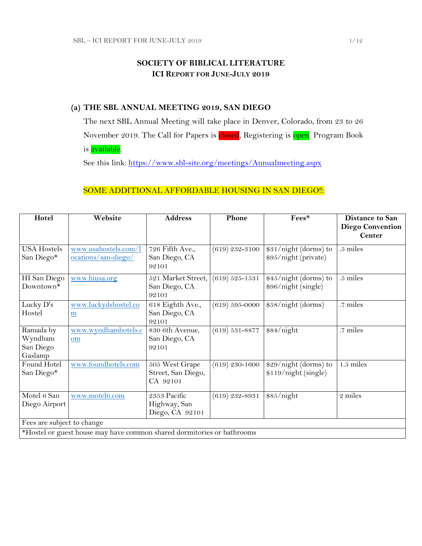## **SOCIETY OF BIBLICAL LITERATURE ICI REPORT FOR JUNE-JULY 2019**

### **(a) THE SBL ANNUAL MEETING 2019, SAN DIEGO**

The next SBL Annual Meeting will take place in Denver, Colorado, from 23 to 26 November 2019. The Call for Papers is closed, Registering is open. Program Book is <mark>available</mark>.

See this link:<https://www.sbl-site.org/meetings/Annualmeeting.aspx>

## SOME ADDITIONAL AFFORDABLE HOUSING IN SAN DIEGO !!:

| Hotel                                                                  | Website                                     | <b>Address</b>                                   | Phone              | Fees*                                         | <b>Distance to San</b><br><b>Diego Convention</b> |
|------------------------------------------------------------------------|---------------------------------------------|--------------------------------------------------|--------------------|-----------------------------------------------|---------------------------------------------------|
|                                                                        |                                             |                                                  |                    |                                               | <b>Center</b>                                     |
| <b>USA Hostels</b><br>San Diego*                                       | www.usahostels.com/l<br>ocations/san-diego/ | 726 Fifth Ave.,<br>San Diego, CA<br>92101        | $(619)$ 232-3100   | \$31/night (dorms) to<br>\$95/night (private) | .5 miles                                          |
| HI San Diego<br>Downtown*                                              | www.hiusa.org                               | 521 Market Street,<br>San Diego, CA<br>92101     | $(619) 525 - 1531$ | \$45/night (dorms) to<br>\$96/night (single)  | .5 miles                                          |
| Lucky D's<br>Hostel                                                    | www.luckydshostel.co<br>m                   | 618 Eighth Ave.,<br>San Diego, CA<br>92101       | $(619) 595 - 0000$ | \$58/night (dorms)                            | .7 miles                                          |
| Ramada by<br>Wyndham<br>San Diego<br>Gaslamp                           | www.wyndhamhotels.c<br>om                   | 830 6th Avenue,<br>San Diego, CA<br>92101        | $(619) 531 - 8877$ | \$84/night                                    | .7 miles                                          |
| Found Hotel<br>San Diego*                                              | www.foundhotels.com                         | 505 West Grape<br>Street, San Diego,<br>CA 92101 | $(619)$ 230–1600   | \$29/night (dorms) to<br>\$119/night (single) | $1.5$ miles                                       |
| Motel 6 San<br>Diego Airport                                           | www.motel6.com                              | 2353 Pacific<br>Highway, San<br>Diego, CA 92101  | $(619)$ 232-8931   | \$85/night                                    | 2 miles                                           |
| Fees are subject to change                                             |                                             |                                                  |                    |                                               |                                                   |
| *Hostel or guest house may have common shared dormitories or bathrooms |                                             |                                                  |                    |                                               |                                                   |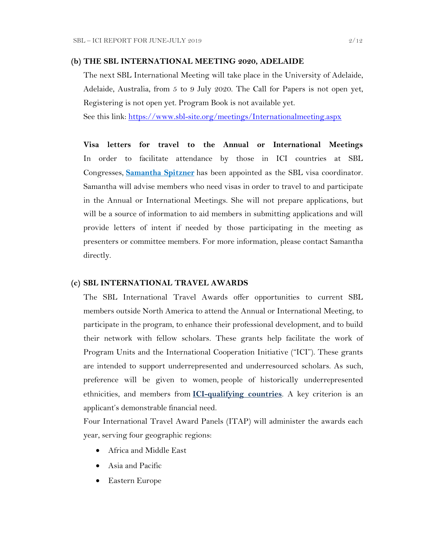#### **(b) THE SBL INTERNATIONAL MEETING 2020, ADELAIDE**

The next SBL International Meeting will take place in the University of Adelaide, Adelaide, Australia, from 5 to 9 July 2020. The Call for Papers is not open yet, Registering is not open yet. Program Book is not available yet.

See this link:<https://www.sbl-site.org/meetings/Internationalmeeting.aspx>

**Visa letters for travel to the Annual or International Meetings** In order to facilitate attendance by those in ICI countries at SBL Congresses, **[Samantha Spitzner](mailto:samantha.spitzner@sbl-site.org)** has been appointed as the SBL visa coordinator. Samantha will advise members who need visas in order to travel to and participate in the Annual or International Meetings. She will not prepare applications, but will be a source of information to aid members in submitting applications and will provide letters of intent if needed by those participating in the meeting as presenters or committee members. For more information, please contact Samantha directly.

#### **(c) SBL INTERNATIONAL TRAVEL AWARDS**

The SBL International Travel Awards offer opportunities to current SBL members outside North America to attend the Annual or International Meeting, to participate in the program, to enhance their professional development, and to build their network with fellow scholars. These grants help facilitate the work of Program Units and the International Cooperation Initiative ("ICI"). These grants are intended to support underrepresented and underresourced scholars. As such, preference will be given to women, people of historically underrepresented ethnicities, and members from **[ICI-qualifying countries](https://www.sbl-site.org/assets/pdfs/ICIcountries.pdf)**. A key criterion is an applicant's demonstrable financial need.

Four International Travel Award Panels (ITAP) will administer the awards each year, serving four geographic regions:

- Africa and Middle East
- Asia and Pacific
- Eastern Europe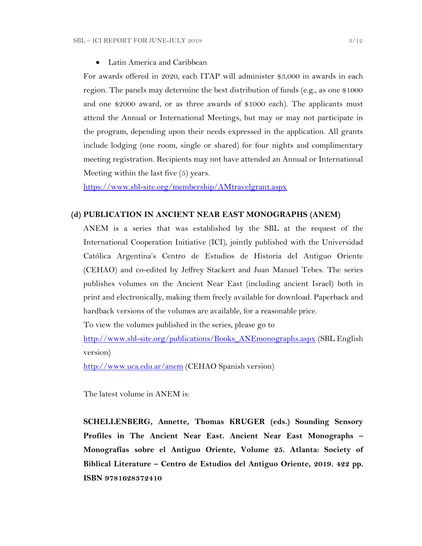Latin America and Caribbean

For awards offered in 2020, each ITAP will administer \$3,000 in awards in each region. The panels may determine the best distribution of funds (e.g., as one \$1000 and one \$2000 award, or as three awards of \$1000 each). The applicants must attend the Annual or International Meetings, but may or may not participate in the program, depending upon their needs expressed in the application. All grants include lodging (one room, single or shared) for four nights and complimentary meeting registration. Recipients may not have attended an Annual or International Meeting within the last five (5) years.

<https://www.sbl-site.org/membership/AMtravelgrant.aspx>

#### **(d) PUBLICATION IN [ANCIENT NEAR EAST MONOGRAPHS](http://www.sbl-site.org/publications/Books_ANEmonographs.aspx) (ANEM)**

ANEM is a series that was established by the SBL at the request of the International Cooperation Initiative (ICI), jointly published with the Universidad Católica Argentina's Centro de Estudios de Historia del Antiguo Oriente (CEHAO) and co-edited by Jeffrey Stackert and Juan Manuel Tebes. The series publishes volumes on the Ancient Near East (including ancient Israel) both in print and electronically, making them freely available for download. Paperback and hardback versions of the volumes are available, for a reasonable price.

To view the volumes published in the series, please go to

[http://www.sbl-site.org/publications/Books\\_ANEmonographs.aspx](http://www.sbl-site.org/publications/Books_ANEmonographs.aspx) (SBL English version)

<http://www.uca.edu.ar/anem> (CEHAO Spanish version)

The latest volume in ANEM is:

**SCHELLENBERG, Annette, Thomas KRUGER (eds.) Sounding Sensory Profiles in The Ancient Near East. Ancient Near East Monographs – Monografías sobre el Antiguo Oriente, Volume 25. Atlanta: Society of Biblical Literature – Centro de Estudios del Antiguo Oriente, 2019. 422 pp. ISBN 9781628372410**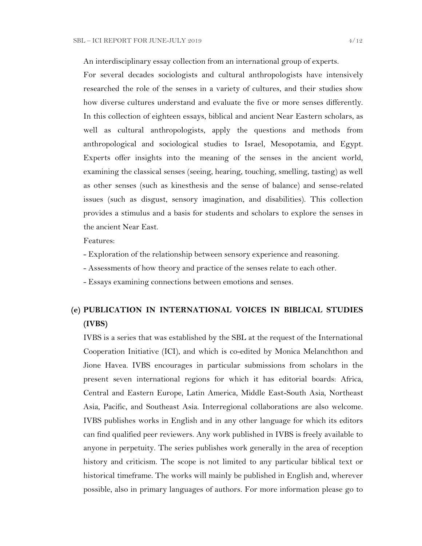An interdisciplinary essay collection from an international group of experts.

For several decades sociologists and cultural anthropologists have intensively researched the role of the senses in a variety of cultures, and their studies show how diverse cultures understand and evaluate the five or more senses differently. In this collection of eighteen essays, biblical and ancient Near Eastern scholars, as well as cultural anthropologists, apply the questions and methods from anthropological and sociological studies to Israel, Mesopotamia, and Egypt. Experts offer insights into the meaning of the senses in the ancient world, examining the classical senses (seeing, hearing, touching, smelling, tasting) as well as other senses (such as kinesthesis and the sense of balance) and sense-related issues (such as disgust, sensory imagination, and disabilities). This collection provides a stimulus and a basis for students and scholars to explore the senses in the ancient Near East.

Features:

- Exploration of the relationship between sensory experience and reasoning.
- Assessments of how theory and practice of the senses relate to each other.
- Essays examining connections between emotions and senses.

# **(e) PUBLICATION IN INTERNATIONAL VOICES IN BIBLICAL STUDIES (IVBS)**

IVBS is a series that was established by the SBL at the request of the International Cooperation Initiative (ICI), and which is co-edited by Monica Melanchthon and Jione Havea. IVBS encourages in particular submissions from scholars in the present seven international regions for which it has editorial boards: Africa, Central and Eastern Europe, Latin America, Middle East-South Asia, Northeast Asia, Pacific, and Southeast Asia. Interregional collaborations are also welcome. IVBS publishes works in English and in any other language for which its editors can find qualified peer reviewers. Any work published in IVBS is freely available to anyone in perpetuity. The series publishes work generally in the area of reception history and criticism. The scope is not limited to any particular biblical text or historical timeframe. The works will mainly be published in English and, wherever possible, also in primary languages of authors. For more information please go to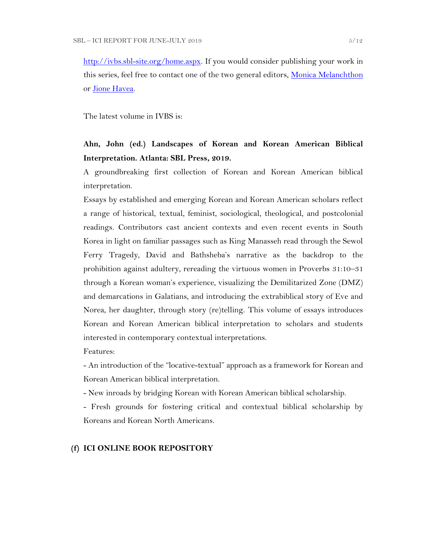[http://ivbs.sbl-site.org/home.aspx.](http://ivbs.sbl-site.org/home.aspx) If you would consider publishing your work in this series, feel free to contact one of the two general editors, [Monica Melanchthon](mailto:ivbs2010@gmail.com) or [Jione Havea.](mailto:jioneh@nsw.uca.org.au)

The latest volume in IVBS is:

## **Ahn, John (ed.) Landscapes of Korean and Korean American Biblical Interpretation. Atlanta: SBL Press, 2019.**

A groundbreaking first collection of Korean and Korean American biblical interpretation.

Essays by established and emerging Korean and Korean American scholars reflect a range of historical, textual, feminist, sociological, theological, and postcolonial readings. Contributors cast ancient contexts and even recent events in South Korea in light on familiar passages such as King Manasseh read through the Sewol Ferry Tragedy, David and Bathsheba's narrative as the backdrop to the prohibition against adultery, rereading the virtuous women in Proverbs 31:10–31 through a Korean woman's experience, visualizing the Demilitarized Zone (DMZ) and demarcations in Galatians, and introducing the extrabiblical story of Eve and Norea, her daughter, through story (re)telling. This volume of essays introduces Korean and Korean American biblical interpretation to scholars and students interested in contemporary contextual interpretations.

#### Features:

- An introduction of the "locative-textual" approach as a framework for Korean and Korean American biblical interpretation.

- New inroads by bridging Korean with Korean American biblical scholarship.

- Fresh grounds for fostering critical and contextual biblical scholarship by Koreans and Korean North Americans.

#### **(f) ICI ONLINE BOOK REPOSITORY**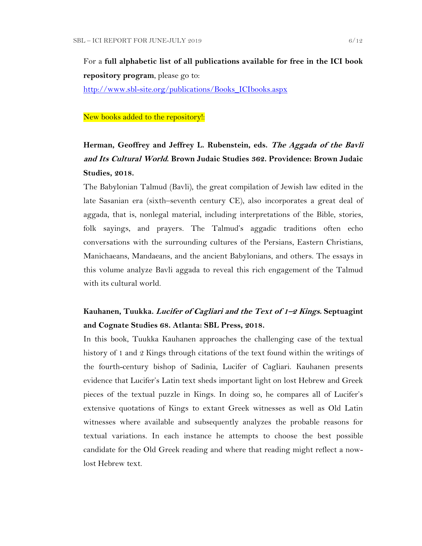For a **full alphabetic list of all publications available for free in the ICI book repository program**, please go to:

[http://www.sbl-site.org/publications/Books\\_ICIbooks.aspx](http://www.sbl-site.org/publications/Books_ICIbooks.aspx)

#### New books added to the repository!:

# **Herman, Geoffrey and Jeffrey L. Rubenstein, eds. The Aggada of the Bavli and Its Cultural World. Brown Judaic Studies 362. Providence: Brown Judaic Studies, 2018.**

The Babylonian Talmud (Bavli), the great compilation of Jewish law edited in the late Sasanian era (sixth–seventh century CE), also incorporates a great deal of aggada, that is, nonlegal material, including interpretations of the Bible, stories, folk sayings, and prayers. The Talmud's aggadic traditions often echo conversations with the surrounding cultures of the Persians, Eastern Christians, Manichaeans, Mandaeans, and the ancient Babylonians, and others. The essays in this volume analyze Bavli aggada to reveal this rich engagement of the Talmud with its cultural world.

## **Kauhanen, Tuukka. Lucifer of Cagliari and the Text of 1–2 Kings. Septuagint and Cognate Studies 68. Atlanta: SBL Press, 2018.**

In this book, Tuukka Kauhanen approaches the challenging case of the textual history of 1 and 2 Kings through citations of the text found within the writings of the fourth-century bishop of Sadinia, Lucifer of Cagliari. Kauhanen presents evidence that Lucifer's Latin text sheds important light on lost Hebrew and Greek pieces of the textual puzzle in Kings. In doing so, he compares all of Lucifer's extensive quotations of Kings to extant Greek witnesses as well as Old Latin witnesses where available and subsequently analyzes the probable reasons for textual variations. In each instance he attempts to choose the best possible candidate for the Old Greek reading and where that reading might reflect a nowlost Hebrew text.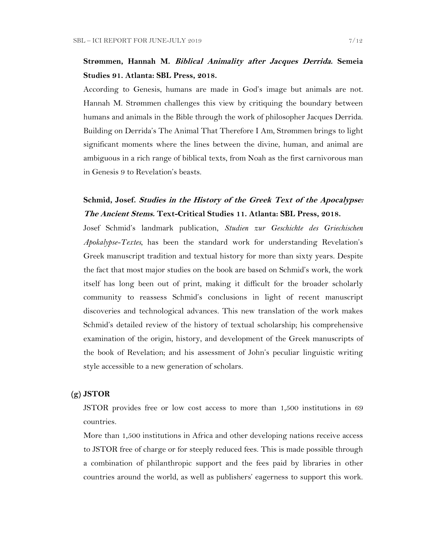## **Strømmen, Hannah M. Biblical Animality after Jacques Derrida. Semeia Studies 91. Atlanta: SBL Press, 2018.**

According to Genesis, humans are made in God's image but animals are not. Hannah M. Strømmen challenges this view by critiquing the boundary between humans and animals in the Bible through the work of philosopher Jacques Derrida. Building on Derrida's The Animal That Therefore I Am, Strømmen brings to light significant moments where the lines between the divine, human, and animal are ambiguous in a rich range of biblical texts, from Noah as the first carnivorous man in Genesis 9 to Revelation's beasts.

## **Schmid, Josef. Studies in the History of the Greek Text of the Apocalypse: The Ancient Stems. Text-Critical Studies 11. Atlanta: SBL Press, 2018.**

Josef Schmid's landmark publication, *Studien zur Geschichte des Griechischen Apokalypse-Textes*, has been the standard work for understanding Revelation's Greek manuscript tradition and textual history for more than sixty years. Despite the fact that most major studies on the book are based on Schmid's work, the work itself has long been out of print, making it difficult for the broader scholarly community to reassess Schmid's conclusions in light of recent manuscript discoveries and technological advances. This new translation of the work makes Schmid's detailed review of the history of textual scholarship; his comprehensive examination of the origin, history, and development of the Greek manuscripts of the book of Revelation; and his assessment of John's peculiar linguistic writing style accessible to a new generation of scholars.

### **(g) JSTOR**

JSTOR provides free or low cost access to more than 1,500 institutions in 69 countries.

More than 1,500 institutions in Africa and other developing nations receive access to JSTOR free of charge or for steeply reduced fees. This is made possible through a combination of philanthropic support and the fees paid by libraries in other countries around the world, as well as publishers' eagerness to support this work.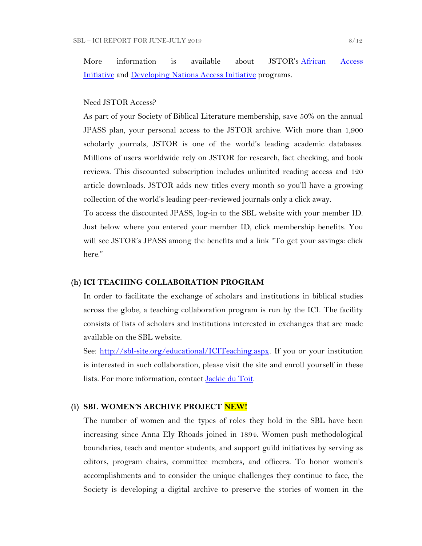More information is available about JSTOR's [African Access](http://about.jstor.org/libraries/african-access-initiative)  [Initiative](http://about.jstor.org/libraries/african-access-initiative) and [Developing Nations Access Initiative](http://about.jstor.org/libraries/developing-nations-access-initiative) programs.

#### Need JSTOR Access?

As part of your Society of Biblical Literature membership, save 50% on the annual JPASS plan, your personal access to the JSTOR archive. With more than 1,900 scholarly journals, JSTOR is one of the world's leading academic databases. Millions of users worldwide rely on JSTOR for research, fact checking, and book reviews. This discounted subscription includes unlimited reading access and 120 article downloads. JSTOR adds new titles every month so you'll have a growing collection of the world's leading peer-reviewed journals only a click away.

To access the discounted JPASS, log-in to the SBL website with your member ID. Just below where you entered your member ID, click membership benefits. You will see JSTOR's JPASS among the benefits and a link "To get your savings: click here."

#### **(h) ICI TEACHING COLLABORATION PROGRAM**

In order to facilitate the exchange of scholars and institutions in biblical studies across the globe, a teaching collaboration program is run by the ICI. The facility consists of lists of scholars and institutions interested in exchanges that are made available on the SBL website.

See: [http://sbl-site.org/educational/ICITeaching.aspx.](http://sbl-site.org/educational/ICITeaching.aspx) If you or your institution is interested in such collaboration, please visit the site and enroll yourself in these lists. For more information, contact [Jackie du Toit.](mailto:dutoitjs@ufs.ac.za)

### **(i) SBL WOMEN'S ARCHIVE PROJECT NEW!**

The number of women and the types of roles they hold in the SBL have been increasing since Anna Ely Rhoads joined in 1894. Women push methodological boundaries, teach and mentor students, and support guild initiatives by serving as editors, program chairs, committee members, and officers. To honor women's accomplishments and to consider the unique challenges they continue to face, the Society is developing a digital archive to preserve the stories of women in the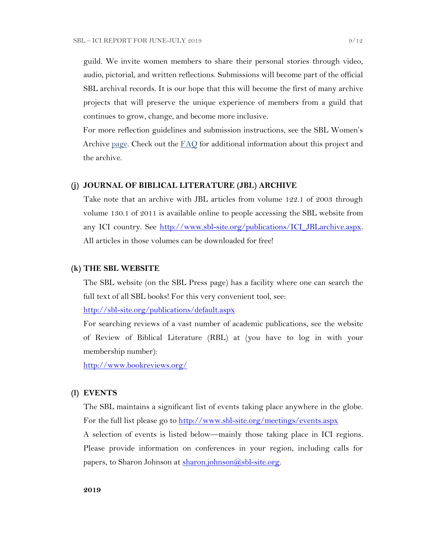guild. We invite women members to share their personal stories through video, audio, pictorial, and written reflections. Submissions will become part of the official SBL archival records. It is our hope that this will become the first of many archive projects that will preserve the unique experience of members from a guild that continues to grow, change, and become more inclusive.

For more reflection guidelines and submission instructions, see the SBL Women's Archive [page.](https://nam04.safelinks.protection.outlook.com/?url=http%3A%2F%2Fr20.rs6.net%2Ftn.jsp%3Ff%3D001UxB5SQIuVUKz9COuM3IsPWnWKqoK39z2VG4xqTm8KZlA_ZE17Z7Fa2PmCgTjMMxZJIpcAIjlvUF-irxd2rwYbEMLTrV0K_WM51IpZKkkhMDgd8_9aVPRw3rlId_KW8E944PO6OC3qczzRWSY7H-TuxvuErx13KKirGuJ38oWvop66nka2FiuLpzq0iT-us5e%26c%3DQ2tCZ6oCYeHLWgeasA7YFffpqmCkeEopn2jFFHww1HRSHdGZkow9Cg%3D%3D%26ch%3Dndma_uDxhxPhjRABmkw-gBQiRkfwAotBZK8Ps3z0wu4oDwHg9u9sLg%3D%3D&data=02%7C01%7CWALFORD_ND%40mercer.edu%7Cf513cd74ff8548bede3608d6b5da7f75%7C4fb34d2889b247109bcc30824d17fc30%7C0%7C0%7C636896347381808305&sdata=tiSsidRd6oL6K11UbD%2BSSPY7fRIjvdDnpsEU3BWCZRg%3D&reserved=0) Check out the [FAQ](http://r20.rs6.net/tn.jsp?f=001daD3lBrhj8ZbS8-GLHmkkfCXBAC1VygxiIGaWr04TSwAe6xpaQQvNJKWplVAEpG6TEU1_8KlnBObWx0oZC8x7WoLEp77_1CFtxX0KaAFLBjOBdYTd2f5qgWSoEYDRce9P__OLb1j9qY-AF3VQc1Y44LRzHcBpPqZU-EHsK1QZTJIoW4LFbKk7i8Ng-wzmNHDH6gAjZEh02zQc7Hju5X1UnsIvXFI2f0S&c=eIPPqaSd2_Vy4YClv5OeeUxZS30eJVZ-NpEqtmoT_RO1qkg45kBI_g==&ch=TNoNbOW4OE_N3IXbNrssVzBYer7u1PunhQWZuBYieCMVeDT7hGjUZQ==) for additional information about this project and the archive.

#### **(j) JOURNAL OF BIBLICAL LITERATURE (JBL) ARCHIVE**

Take note that an archive with JBL articles from volume 122.1 of 2003 through volume 130.1 of 2011 is available online to people accessing the SBL website from any ICI country. See [http://www.sbl-site.org/publications/ICI\\_JBLarchive.aspx.](http://www.sbl-site.org/publications/ICI_JBLarchive.aspx) All articles in those volumes can be downloaded for free!

#### **(k) THE SBL WEBSITE**

The SBL website (on the SBL Press page) has a facility where one can search the full text of all SBL books! For this very convenient tool, see:

<http://sbl-site.org/publications/default.aspx>

For searching reviews of a vast number of academic publications, see the website of Review of Biblical Literature (RBL) at (you have to log in with your membership number):

<http://www.bookreviews.org/>

#### **(l) EVENTS**

The SBL maintains a significant list of events taking place anywhere in the globe. For the full list please go to<http://www.sbl-site.org/meetings/events.aspx> A selection of events is listed below—mainly those taking place in ICI regions. Please provide information on conferences in your region, including calls for

papers, to Sharon Johnson at  $\frac{\text{sharon.}(\partial s\text{bl-site.} \text{org.}}{\text{gl.}(\partial s\text{bl-site.} \text{org.}})$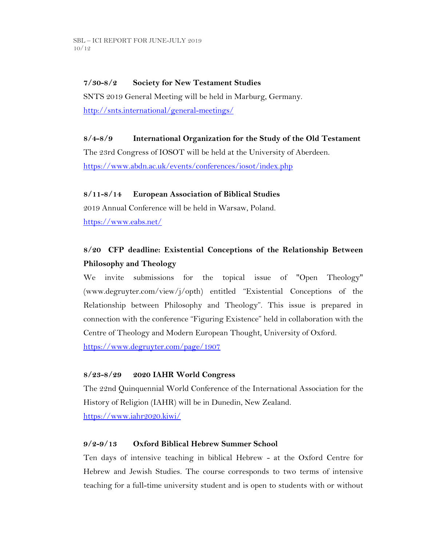## **7/30-8/2 Society for New Testament Studies**

SNTS 2019 General Meeting will be held in Marburg, Germany. <http://snts.international/general-meetings/>

## **8/4-8/9 International Organization for the Study of the Old Testament**

The 23rd Congress of IOSOT will be held at the University of Aberdeen. <https://www.abdn.ac.uk/events/conferences/iosot/index.php>

### **8/11-8/14 European Association of Biblical Studies**

2019 Annual Conference will be held in Warsaw, Poland. <https://www.eabs.net/>

# **8/20 CFP deadline: Existential Conceptions of the Relationship Between Philosophy and Theology**

We invite submissions for the topical issue of "Open Theology" (www.degruyter.com/view/j/opth) entitled "Existential Conceptions of the Relationship between Philosophy and Theology". This issue is prepared in connection with the conference "Figuring Existence" held in collaboration with the Centre of Theology and Modern European Thought, University of Oxford. <https://www.degruyter.com/page/1907>

### **8/23-8/29 2020 IAHR World Congress**

The 22nd Quinquennial World Conference of the International Association for the History of Religion (IAHR) will be in Dunedin, New Zealand. <https://www.iahr2020.kiwi/>

### **9/2-9/13 Oxford Biblical Hebrew Summer School**

Ten days of intensive teaching in biblical Hebrew - at the Oxford Centre for Hebrew and Jewish Studies. The course corresponds to two terms of intensive teaching for a full-time university student and is open to students with or without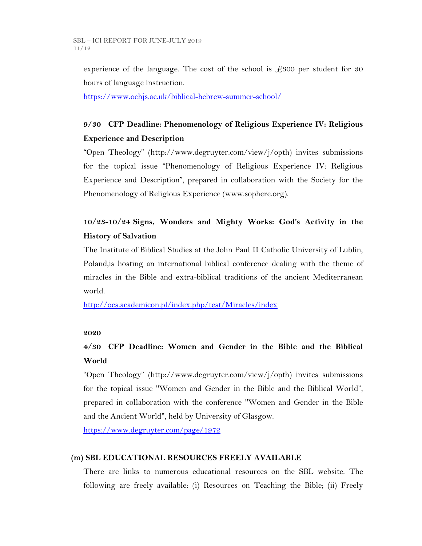experience of the language. The cost of the school is  $\angle 2300$  per student for 30 hours of language instruction.

<https://www.ochjs.ac.uk/biblical-hebrew-summer-school/>

# **9/30 CFP Deadline: Phenomenology of Religious Experience IV: Religious Experience and Description**

"Open Theology" (http://www.degruyter.com/view/j/opth) invites submissions for the topical issue "Phenomenology of Religious Experience IV: Religious Experience and Description", prepared in collaboration with the Society for the Phenomenology of Religious Experience (www.sophere.org).

# **10/23-10/24 Signs, Wonders and Mighty Works: God's Activity in the History of Salvation**

The Institute of Biblical Studies at the John Paul II Catholic University of Lublin, Poland,is hosting an international biblical conference dealing with the theme of miracles in the Bible and extra-biblical traditions of the ancient Mediterranean world.

<http://ocs.academicon.pl/index.php/test/Miracles/index>

## **2020**

# **4/30 CFP Deadline: Women and Gender in the Bible and the Biblical World**

"Open Theology" (http://www.degruyter.com/view/j/opth) invites submissions for the topical issue "Women and Gender in the Bible and the Biblical World", prepared in collaboration with the conference "Women and Gender in the Bible and the Ancient World", held by University of Glasgow.

<https://www.degruyter.com/page/1972>

## **(m) SBL EDUCATIONAL RESOURCES FREELY AVAILABLE**

There are links to numerous educational resources on the SBL website. The following are freely available: (i) Resources on Teaching the Bible; (ii) Freely